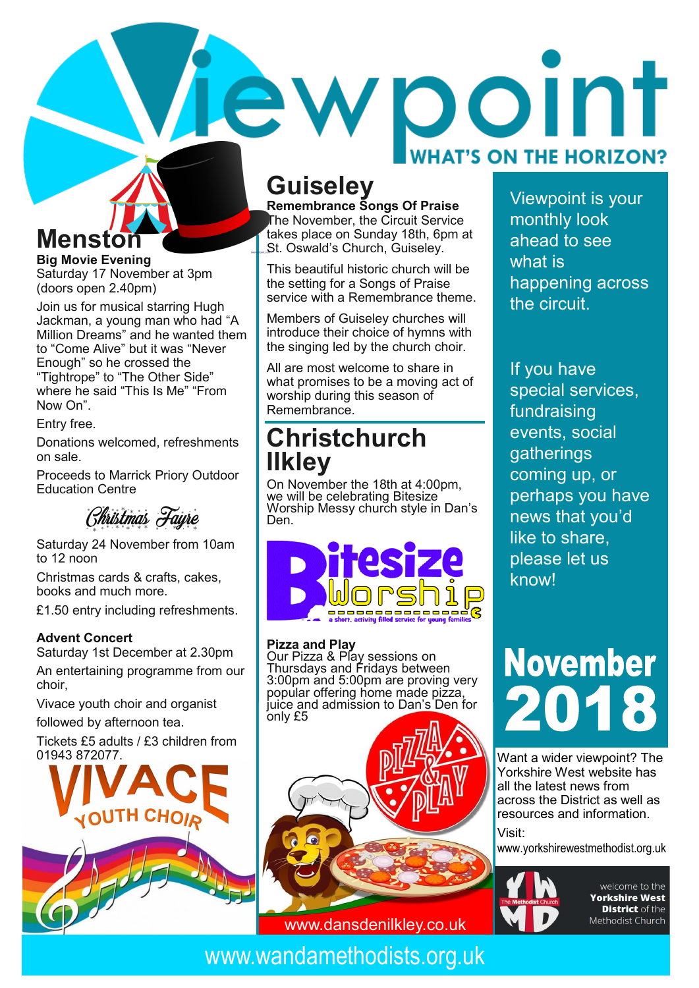## ewpoint **WHAT'S ON THE HORIZON?**

## **Guiseley**

**Remembrance Songs Of Praise** The November, the  $\check{\rm C}$ ircuit Service takes place on Sunday 18th, 6pm at St. Oswald's Church, Guiseley.

This beautiful historic church will be the setting for a Songs of Praise service with a Remembrance theme.

Members of Guiseley churches will introduce their choice of hymns with the singing led by the church choir.

All are most welcome to share in what promises to be a moving act of worship during this season of Remembrance.

### **Christchurch Ilkley**

On November the 18th at 4:00pm, we will be celebrating Bitesize Worship Messy church style in Dan's Den.



#### **Pizza and Play**

Our Pizza & Play sessions on Thursdays and Fridays between 3:00pm and 5:00pm are proving very popular offering home made pizza, juice and admission to Dan's Den for only £5

Viewpoint is your monthly look ahead to see what is happening across the circuit.

If you have special services, fundraising events, social gatherings coming up, or perhaps you have news that you'd like to share, please let us know!

# **November**

Want a wider viewpoint? The Yorkshire West website has all the latest news from across the District as well as resources and information. Visit:

www.yorkshirewestmethodist.org.uk



welcome to the **Yorkshire West District** of the Methodist Church

## **Menston**

**Big Movie Evening** Saturday 17 November at 3pm (doors open 2.40pm)

Join us for musical starring Hugh Jackman, a young man who had "A Million Dreams" and he wanted them to "Come Alive" but it was "Never Enough" so he crossed the "Tightrope" to "The Other Side" where he said "This Is Me" "From Now On".

Entry free.

Donations welcomed, refreshments on sale.

Proceeds to Marrick Priory Outdoor Education Centre

Christmas Fayre

Saturday 24 November from 10am to 12 noon

Christmas cards & crafts, cakes, books and much more.

£1.50 entry including refreshments.

#### **Advent Concert**

Saturday 1st December at 2.30pm

An entertaining programme from our choir,

Vivace youth choir and organist

followed by afternoon tea.

Tickets £5 adults / £3 children from 01943 872077.



www.wandamethodists.org.uk

www.dansdenilkley.co.uk